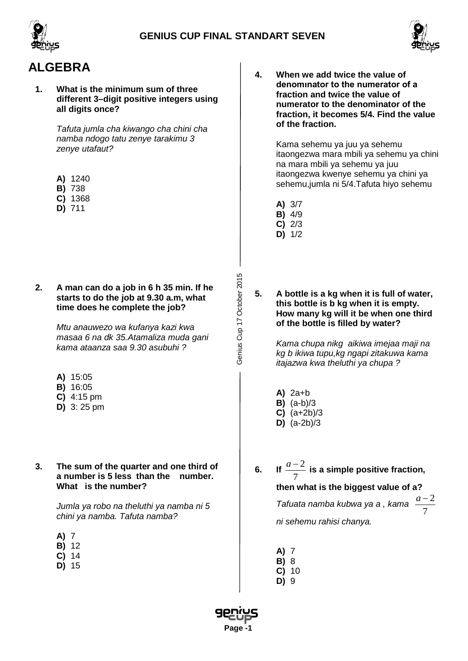





# **ALGEBRA**

**1. What is the minimum sum of three different 3–digit positive integers using all digits once?**

> *Tafuta jumla cha kiwango cha chini cha namba ndogo tatu zenye tarakimu 3 zenye utafaut?*

- **A)** 1240
- **B)** 738
- **C)** 1368
- **D)** 711
- **2. A man can do a job in 6 h 35 min. If he starts to do the job at 9.30 a.m, what time does he complete the job?**

*Mtu anauwezo wa kufanya kazi kwa masaa 6 na dk 35.Atamaliza muda gani kama ataanza saa 9.30 asubuhi ?*

- **A)** 15:05
- **B)** 16:05
- **C)** 4:15 pm
- **D)** 3: 25 pm
- **3. The sum of the quarter and one third of a number is 5 less than the number. What is the number?**

*Jumla ya robo na theluthi ya namba ni 5 chini ya namba. Tafuta namba?*

- **A)** 7
- **B)** 12
- **C)** 14
- **D)** 15

**4. When we add twice the value of denomınator to the numerator of a fraction and twice the value of numerator to the denominator of the fraction, it becomes 5/4. Find the value of the fraction.**

> Kama sehemu ya juu ya sehemu itaongezwa mara mbili ya sehemu ya chini na mara mbili ya sehemu ya juu itaongezwa kwenye sehemu ya chini ya sehemu,jumla ni 5/4.Tafuta hiyo sehemu

- **A)** 3/7
- **B)** 4/9
- **C)** 2/3
- **D)** 1/2
- **5. A bottle is a kg when it is full of water, this bottle is b kg when it is empty. How many kg will it be when one third of the bottle is filled by water?**

*Kama chupa nikg aikiwa imejaa maji na kg b ikiwa tupu,kg ngapi zitakuwa kama itajazwa kwa theluthi ya chupa ?*

- **A)** 2a+b
- **B)** (a-b)/3
- **C)** (a+2b)/3
- **D)** (a-2b)/3
- **6.** If  $\frac{a-2}{7}$ 7  $\frac{a-2}{a}$  is a simple positive fraction, **then what is the biggest value of a?**

*Tafuata namba kubwa ya a , kama*  $\frac{a-2}{7}$ 

7 *a* −

*ni sehemu rahisi chanya.* 

- **A)** 7
- **B)** 8
- **C)** 10 **D)** 9
- 



Genius Cup 17 October 2015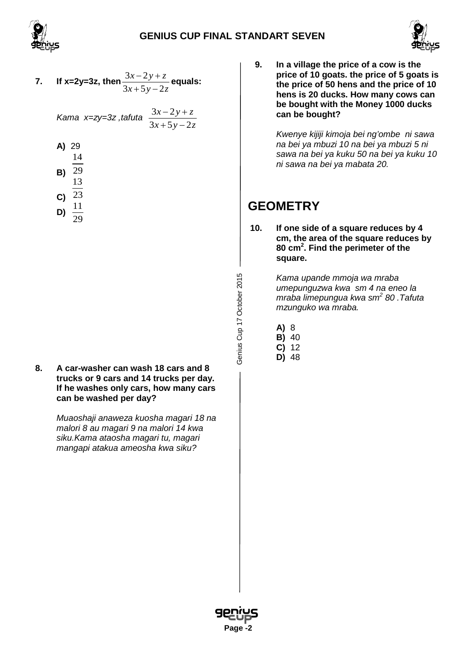



7. If x=2y=3z, then 
$$
\frac{3x-2y+z}{3x+5y-2z}
$$
 equals:

$$
\mathsf{Kama} \ \mathsf{x} = \mathsf{zy} = 3\mathsf{z} \ , \mathsf{tafuta} \ \ \frac{3x - 2y + z}{3x + 5y - 2z}
$$

- **A)** 29 **B)** 14 29 13
- **C)** 23 **D)**  $\frac{11}{2}$  $29$

Genius Cup 17 October 2015

**8. A car-washer can wash 18 cars and 8 trucks or 9 cars and 14 trucks per day. If he washes only cars, how many cars can be washed per day?**

> *Muaoshaji anaweza kuosha magari 18 na malori 8 au magari 9 na malori 14 kwa siku.Kama ataosha magari tu, magari mangapi atakua ameosha kwa siku?*

**9. In a village the price of a cow is the price of 10 goats. the price of 5 goats is the price of 50 hens and the price of 10 hens is 20 ducks. How many cows can be bought with the Money 1000 ducks can be bought?**

> *Kwenye kijiji kimoja bei ng'ombe ni sawa na bei ya mbuzi 10 na bei ya mbuzi 5 ni sawa na bei ya kuku 50 na bei ya kuku 10 ni sawa na bei ya mabata 20.*

# **GEOMETRY**

**10. If one side of a square reduces by 4 cm, the area of the square reduces by 80 cm<sup>2</sup> . Find the perimeter of the square.**

> *Kama upande mmoja wa mraba umepunguzwa kwa sm 4 na eneo la mraba limepungua kwa sm<sup>2</sup> 80 .Tafuta mzunguko wa mraba.*

- **A)** 8
- **B)** 40
- **C)** 12
- **D)** 48

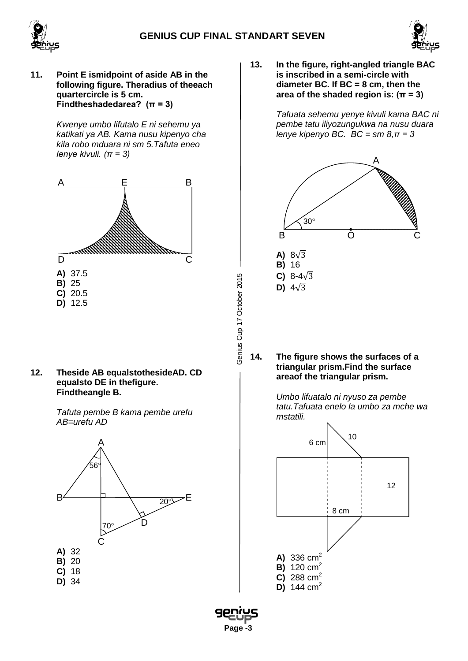Genius Cup 17 October 2015

 **Page -3**





**11. Point E ismidpoint of aside AB in the following figure. Theradius of theeach quartercircle is 5 cm. Findtheshadedarea? (π = 3)**

> *Kwenye umbo lifutalo E ni sehemu ya katikati ya AB. Kama nusu kipenyo cha kila robo mduara ni sm 5.Tafuta eneo lenye kivuli. (π = 3)*



**12. Theside AB equalstothesideAD. CD equalsto DE in thefigure. Findtheangle B.**

> *Tafuta pembe B kama pembe urefu AB=urefu AD*



**13. In the figure, right-angled triangle BAC is inscribed in a semi-circle with diameter BC. If BC = 8 cm, then the area of the shaded region is: (π = 3)**

> *Tafuata sehemu yenye kivuli kama BAC ni pembe tatu iliyozungukwa na nusu duara lenye kipenyo BC. BC = sm 8,π = 3*



**14. The figure shows the surfaces of a triangular prism.Find the surface areaof the triangular prism.**

> *Umbo lifuatalo ni nyuso za pembe tatu.Tafuata enelo la umbo za mche wa mstatili.*

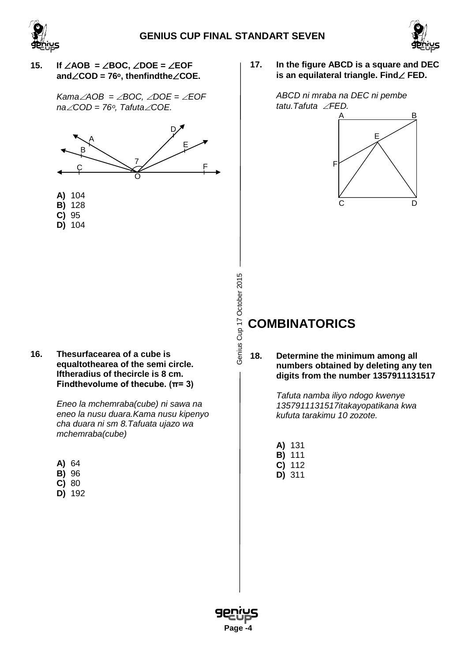

Genius Cup 17 October 2015



## **15. If** ∠**AOB =** ∠**BOC,** ∠**DOE =** ∠**EOF and**∠**COD = 76ᵒ, thenfindthe**∠**COE.**

*Kama*∠*AOB =* ∠*BOC,* ∠*DOE =* ∠*EOF na*∠*COD = 76ᵒ, Tafuta*∠*COE.*



- **B)** 128
- **C)** 95
- **D)** 104

**16. Thesurfacearea of a cube is equaltothearea of the semi circle. Iftheradius of thecircle is 8 cm. Findthevolume of thecube. (π= 3)**

> *Eneo la mchemraba(cube) ni sawa na eneo la nusu duara.Kama nusu kipenyo cha duara ni sm 8.Tafuata ujazo wa mchemraba(cube)*

| - | ۰. |
|---|----|
|   |    |

- **B)** 96
- **C)** 80
- **D)** 192

**17. In the figure ABCD is a square and DEC is an equilateral triangle. Find**∠ **FED.**



# **COMBINATORICS**

**18. Determine the minimum among all numbers obtained by deleting any ten digits from the number 1357911131517**

> *Tafuta namba iliyo ndogo kwenye 1357911131517itakayopatikana kwa kufuta tarakimu 10 zozote.*

- **A)** 131
- **B)** 111
- **C)** 112
- **D)** 311

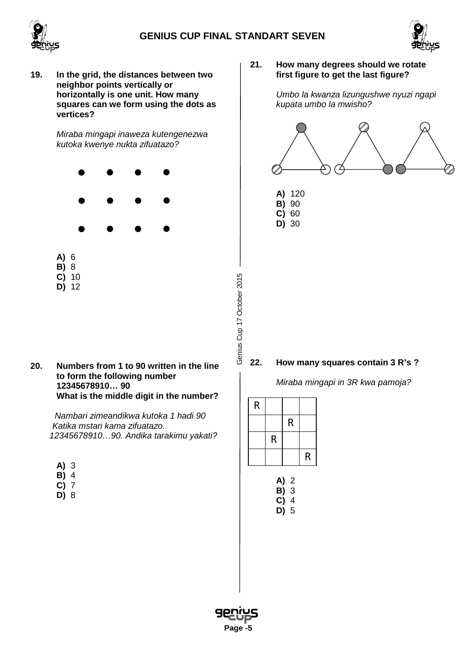Genius Cup 17 October 2015





**19. In the grid, the distances between two neighbor points vertically or horizontally is one unit. How many squares can we form using the dots as vertices?**

> *Miraba mingapi inaweza kutengenezwa kutoka kwenye nukta zifuatazo?*



**20. Numbers from 1 to 90 written in the line to form the following number 12345678910… 90 What is the middle digit in the number?**

> *Nambari zimeandikwa kutoka 1 hadi 90 Katika mstari kama zifuatazo. 12345678910…90. Andika tarakimu yakati?*

| - 1<br>×<br>×<br>- |
|--------------------|
|--------------------|

- **B)** 4
- **C)** 7
- **D)** 8

**21. How many degrees should we rotate first figure to get the last figure?**

> *Umbo la kwanza lizungushwe nyuzi ngapi kupata umbo la mwisho?*



## **22. How many squares contain 3 R's ?**

*Miraba mingapi in 3R kwa pamoja?*

| R |   |   |   |
|---|---|---|---|
|   |   | R |   |
|   | R |   |   |
|   |   |   | R |

| A) | 2 |
|----|---|
| B) | 3 |
| C) | 4 |
| D) | 5 |

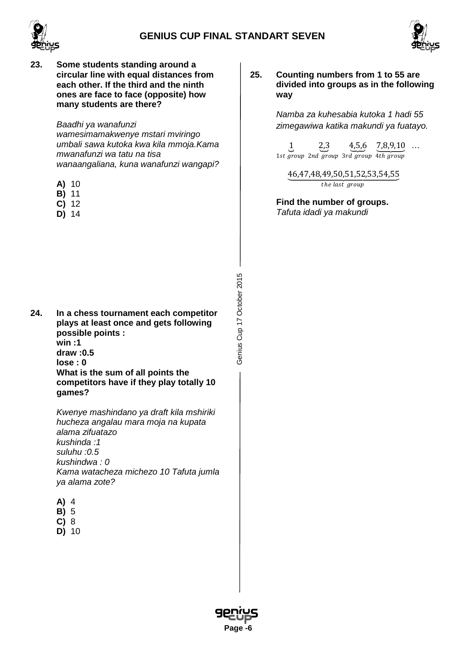



- 
- **23. Some students standing around a circular line with equal distances from each other. If the third and the ninth ones are face to face (opposite) how many students are there?**

*Baadhi ya wanafunzi wamesimamakwenye mstari mviringo umbali sawa kutoka kwa kila mmoja.Kama mwanafunzi wa tatu na tisa wanaangaliana, kuna wanafunzi wangapi?*

- **A)** 10
- **B)** 11
- **C)** 12
- **D)** 14

**24. In a chess tournament each competitor plays at least once and gets following possible points : win :1 draw :0.5 lose : 0 What is the sum of all points the competitors have if they play totally 10 games?** 

> *Kwenye mashindano ya draft kila mshiriki hucheza angalau mara moja na kupata alama zifuatazo kushinda :1 suluhu :0.5 kushindwa : 0 Kama watacheza michezo 10 Tafuta jumla ya alama zote?*

- **A)** 4
- **B)** 5
- **C)** 8
- **D)** 10

**25. Counting numbers from 1 to 55 are divided into groups as in the following way**

> *Namba za kuhesabia kutoka 1 hadi 55 zimegawiwa katika makundi ya fuatayo.*

 $\overline{1}$ 1st group 2nd group 3rd group 4th group 2�,3 4�,5,6  $\underline{7,8,9,10}$  ...

46,47,48,49,50,51,52,53,54,55 the last group

**Find the number of groups.** *Tafuta idadi ya makundi*



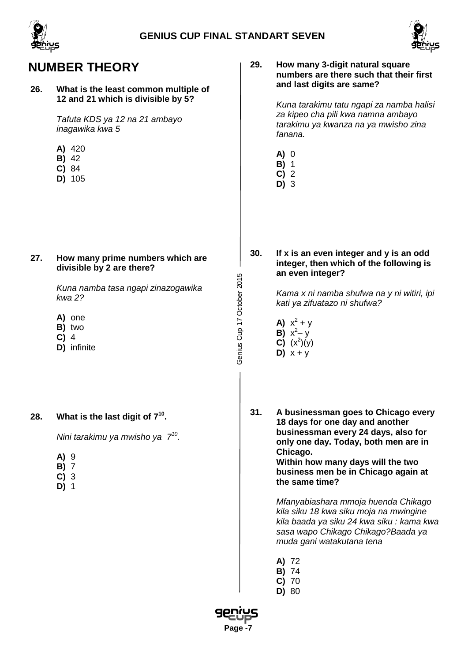

# **NUMBER THEORY**

#### **26. What is the least common multiple of 12 and 21 which is divisible by 5?**

*Tafuta KDS ya 12 na 21 ambayo inagawika kwa 5*

- **A)** 420
- **B)** 42
- **C)** 84
- **D)** 105

**27. How many prime numbers which are divisible by 2 are there?** 

> *Kuna namba tasa ngapi zinazogawika kwa 2?*

- **A)** one
- **B)** two
- **C)** 4
- **D)** infinite

# **28. What is the last digit of 710.**

*Nini tarakimu ya mwisho ya 710.*

- **A)** 9
- **B)** 7
- **C)** 3
- **D)** 1

### **29. How many 3-digit natural square numbers are there such that their first and last digits are same?**

*Kuna tarakimu tatu ngapi za namba halisi za kipeo cha pili kwa namna ambayo tarakimu ya kwanza na ya mwisho zina fanana.*

- **A)** 0
- **B)** 1
- **C)** 2 **D)** 3

**30. If x is an even integer and y is an odd integer, then which of the following is an even integer?**

> *Kama x ni namba shufwa na y ni witiri, ipi kati ya zifuatazo ni shufwa?*

- **A)**  $x^2 + y$ **B)**  $x^2 - y$ **C)**  $(x^2)(y)$
- **D)**  $x + y$

Genius Cup 17 October 2015

Genius Cup 17 October 2015

**31. A businessman goes to Chicago every 18 days for one day and another businessman every 24 days, also for only one day. Today, both men are in Chicago. Within how many days will the two business men be in Chicago again at** 

**the same time?**

*Mfanyabiashara mmoja huenda Chikago kila siku 18 kwa siku moja na mwingine kila baada ya siku 24 kwa siku : kama kwa sasa wapo Chikago Chikago?Baada ya muda gani watakutana tena*

- **A)** 72
- **B)** 74
- **C)** 70
- **D)** 80

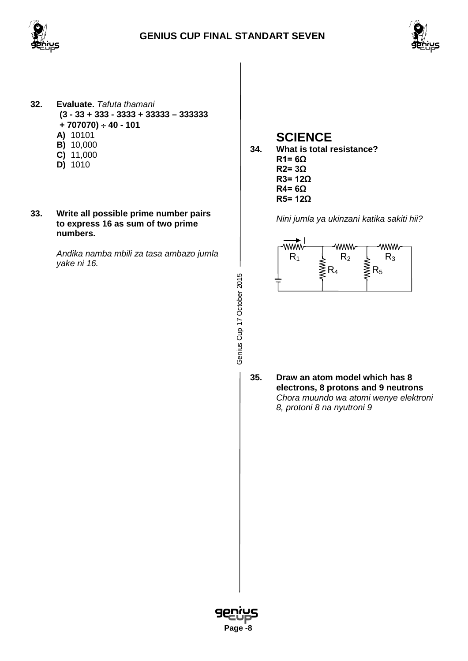



- **32. Evaluate.** *Tafuta thamani* **(3 - 33 + 333 - 3333 + 33333 – 333333 + 707070)** ÷ **40 - 101 A)** 10101 **B)** 10,000 **C)** 11,000 **D)** 1010
- **33. Write all possible prime number pairs to express 16 as sum of two prime numbers.**

*Andika namba mbili za tasa ambazo jumla yake ni 16.*

# **SCIENCE**

**34. What is total resistance? R1= 6Ω R2= 3Ω R3= 12Ω R4= 6Ω R5= 12Ω**

*Nini jumla ya ukinzani katika sakiti hii?*



**35. Draw an atom model which has 8 electrons, 8 protons and 9 neutrons** *Chora muundo wa atomi wenye elektroni 8, protoni 8 na nyutroni 9* 



Genius Cup 17 October 2015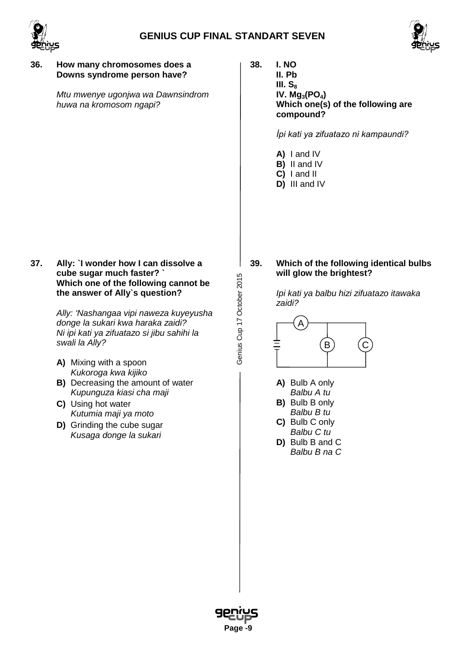

Genius Cup 17 October 2015



#### **36. How many chromosomes does a Downs syndrome person have?**

*Mtu mwenye ugonjwa wa Dawnsindrom huwa na kromosom ngapi?*

**37. Ally: `I wonder how I can dissolve a cube sugar much faster? ` Which one of the following cannot be the answer of Ally`s question?**

> *Ally: 'Nashangaa vipi naweza kuyeyusha donge la sukari kwa haraka zaidi? Ni ipi kati ya zifuatazo si jibu sahihi la swali la Ally?*

- **A)** Mixing with a spoon *Kukoroga kwa kijiko*
- **B)** Decreasing the amount of water *Kupunguza kiasi cha maji*
- **C)** Using hot water *Kutumia maji ya moto*
- **D)** Grinding the cube sugar *Kusaga donge la sukari*

**38. I. NO**

**II. Pb III.** S<sub>8</sub> **IV.** Mg<sub>3</sub>(PO<sub>4</sub>) **Which one(s) of the following are compound?**

*İpi kati ya zifuatazo ni kampaundi?*

- **A)** I and IV
- **B)** II and IV
- **C)** I and II
- **D)** III and IV

**39. Which of the following identical bulbs will glow the brightest?**

> *Ipi kati ya balbu hizi zifuatazo itawaka zaidi?*



- **A)** Bulb A only *Balbu A tu*
- **B)** Bulb B only *Balbu B tu*
- **C)** Bulb C only *Balbu C tu*
- **D)** Bulb B and C *Balbu B na C*

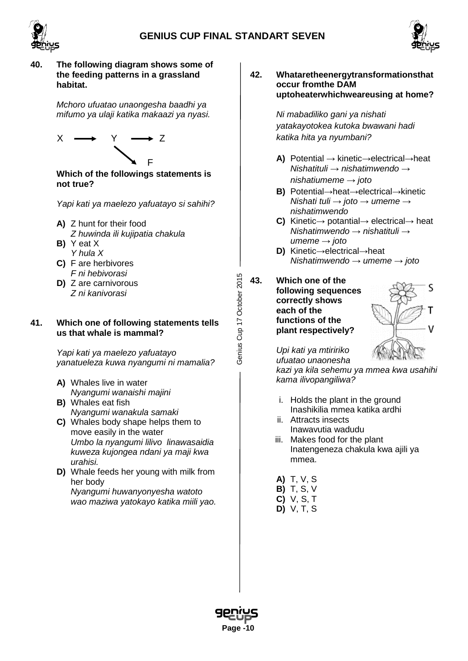

Genius Cup 17 October 2015



### **40. The following diagram shows some of the feeding patterns in a grassland habitat.**

*Mchoro ufuatao unaongesha baadhi ya mifumo ya ulaji katika makaazi ya nyasi.*



**Which of the followings statements is not true?**

*Yapi kati ya maelezo yafuatayo si sahihi?*

- **A)** Z hunt for their food
- *Z huwinda ili kujipatia chakula* **B)** Y eat X
- *Y hula X* **C)** F are herbivores
- *F ni hebivorasi*  **D)** Z are carnivorous
- *Z ni kanivorasi*

#### **41. Which one of following statements tells us that whale is mammal?**

*Yapi kati ya maelezo yafuatayo yanatueleza kuwa nyangumi ni mamalia?*

- **A)** Whales live in water *Nyangumi wanaishi majini*
- **B)** Whales eat fish *Nyangumi wanakula samaki*
- **C)** Whales body shape helps them to move easily in the water *Umbo la nyangumi lilivo linawasaidia kuweza kujongea ndani ya maji kwa urahisi.*
- **D)** Whale feeds her young with milk from her body *Nyangumi huwanyonyesha watoto wao maziwa yatokayo katika miili yao.*

**42. Whataretheenergytransformationsthat occur fromthe DAM uptoheaterwhichweareusing at home?**

> *Ni mabadiliko gani ya nishati yatakayotokea kutoka bwawani hadi katika hita ya nyumbani?*

- **A)** Potential → kinetic→electrical→heat *Nishatituli → nishatimwendo → nishatiumeme → joto*
- **B)** Potential→heat→electrical→kinetic *Nishati tuli → joto → umeme → nishatimwendo*
- **C)** Kinetic→ potantial→ electrical→ heat *Nishatimwendo → nishatituli → umeme → joto*
- **D)** Kinetic→electrical→heat *Nishatimwendo → umeme → joto*
- **43. Which one of the following sequences correctly shows each of the functions of the plant respectively?**



*Upi kati ya mtiririko ufuatao unaonesha* 

*kazi ya kila sehemu ya mmea kwa usahihi kama ilivopangiliwa?*

- i. Holds the plant in the ground Inashikilia mmea katika ardhi
- ii. Attracts insects Inawavutia wadudu
- iii. Makes food for the plant Inatengeneza chakula kwa ajili ya mmea.
- **A)** T, V, S
- **B)** T, S, V
- **C)** V, S, T
- **D)** V, T, S

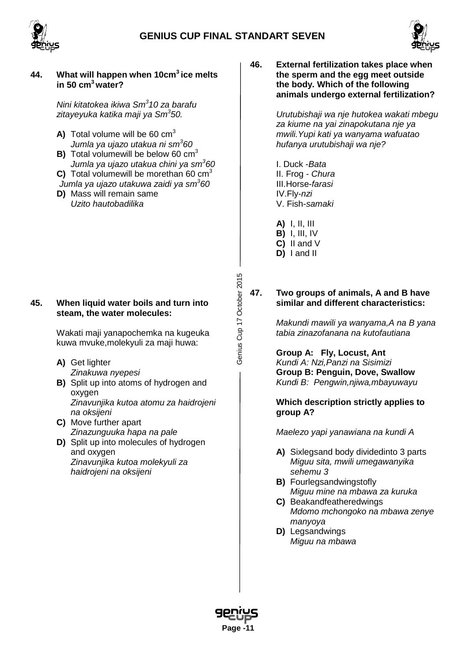

## **44. What will happen when 10cm3 ice melts in 50 cm3 water?**

*Nini kitatokea ikiwa Sm<sup>3</sup> 10 za barafu zitayeyuka katika maji ya Sm<sup>3</sup> 50.*

- **A)** Total volume will be 60 cm<sup>3</sup> *Jumla ya ujazo utakua ni sm<sup>3</sup> 60*
- **B)** Total volumewill be below 60 cm<sup>3</sup> *Jumla ya ujazo utakua chini ya sm<sup>3</sup> 60*
- **C)** Total volumewill be morethan 60 cm<sup>3</sup> *Jumla ya ujazo utakuwa zaidi ya sm<sup>3</sup> 60*
- **D)** Mass will remain same *Uzito hautobadilika*

### **45. When liquid water boils and turn into steam, the water molecules:**

Wakati maji yanapochemka na kugeuka kuwa mvuke,molekyuli za maji huwa:

- **A)** Get lighter *Zinakuwa nyepesi*
- **B)** Split up into atoms of hydrogen and oxygen *Zinavunjika kutoa atomu za haidrojeni na oksijeni*
- **C)** Move further apart *Zinazunguuka hapa na pale*
- **D)** Split up into molecules of hydrogen and oxygen *Zinavunjika kutoa molekyuli za haidrojeni na oksijeni*

**46. External fertilization takes place when the sperm and the egg meet outside the body. Which of the following animals undergo external fertilization?**

> *Urutubishaji wa nje hutokea wakati mbegu za kiume na yai zinapokutana nje ya mwili.Yupi kati ya wanyama wafuatao hufanya urutubishaji wa nje?*

- I. Duck -*Bata* II. Frog - *Chura* III.Horse-*farasi*  IV.Fly-*nzi*  V. Fish-*samaki*
- **A)** I, II, III
- **B)** I, III, IV
- **C)** II and V
- **D)** I and II

Genius Cup 17 October 2015

Genius Cup 17 October 2015

#### **47. Two groups of animals, A and B have similar and different characteristics:**

*Makundi mawili ya wanyama,A na B yana tabia zinazofanana na kutofautiana*

**Group A: Fly, Locust, Ant** *Kundi A: Nzi,Panzi na Sisimizi* **Group B: Penguin, Dove, Swallow** *Kundi B: Pengwin,njiwa,mbayuwayu*

**Which description strictly applies to group A?**

*Maelezo yapi yanawiana na kundi A*

- **A)** Sixlegsand body dividedinto 3 parts *Miguu sita, mwili umegawanyika sehemu 3*
- **B)** Fourlegsandwingstofly *Miguu mine na mbawa za kuruka*
- **C)** Beakandfeatheredwings *Mdomo mchongoko na mbawa zenye manyoya*
- **D)** Legsandwings *Miguu na mbawa*



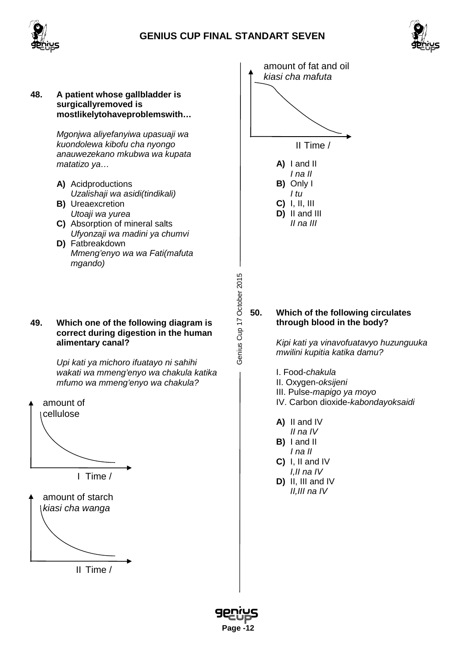



**48. A patient whose gallbladder is surgicallyremoved is mostlikelytohaveproblemswith…**

> *Mgonjwa aliyefanyiwa upasuaji wa kuondolewa kibofu cha nyongo anauwezekano mkubwa wa kupata matatizo ya…*

- **A)** Acidproductions *Uzalishaji wa asidi(tindikali)* **B)** Ureaexcretion
- *Utoaji wa yurea*
- **C)** Absorption of mineral salts *Ufyonzaji wa madini ya chumvi*
- **D)** Fatbreakdown *Mmeng'enyo wa wa Fati(mafuta mgando)*

Genius Cup 17 October 2015 Genius Cup 17 October 2015

#### **49. Which one of the following diagram is correct during digestion in the human alimentary canal?**

*Upi kati ya michoro ifuatayo ni sahihi wakati wa mmeng'enyo wa chakula katika mfumo wa mmeng'enyo wa chakula?*





II Time /



**D)** II and III *II na III*

### **50. Which of the following circulates through blood in the body?**

*Kipi kati ya vinavofuatavyo huzunguuka mwilini kupitia katika damu?*

- I. Food-*chakula*
- II. Oxygen-*oksijeni*
- III. Pulse-*mapigo ya moyo*
- IV. Carbon dioxide-*kabondayoksaidi*
- **A)** II and IV
- *II na IV* **B)** I and II
- *I na II*
- **C)** I, II and IV *I,II na IV*
- **D)** II, III and IV *II,III na IV*

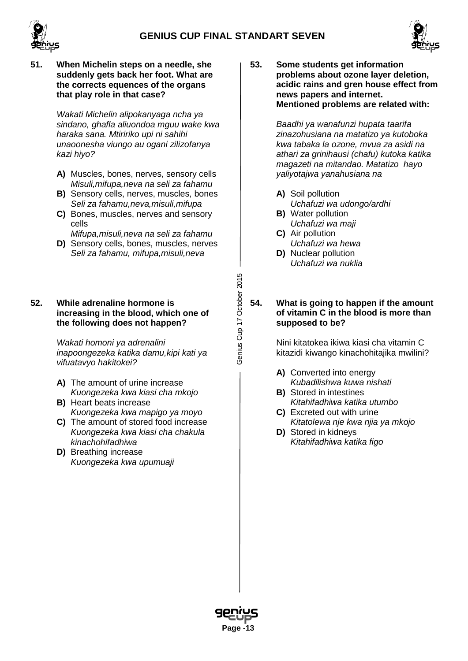Genius Cup 17 October 2015





**51. When Michelin steps on a needle, she suddenly gets back her foot. What are the corrects equences of the organs that play role in that case?**

> *Wakati Michelin alipokanyaga ncha ya sindano, ghafla aliuondoa mguu wake kwa haraka sana. Mtiririko upi ni sahihi unaoonesha viungo au ogani zilizofanya kazi hiyo?*

- **A)** Muscles, bones, nerves, sensory cells *Misuli,mifupa,neva na seli za fahamu*
- **B)** Sensory cells, nerves, muscles, bones *Seli za fahamu,neva,misuli,mifupa*
- **C)** Bones, muscles, nerves and sensory cells
- *Mifupa,misuli,neva na seli za fahamu* **D)** Sensory cells, bones, muscles, nerves
- *Seli za fahamu, mifupa,misuli,neva*

### **52. While adrenaline hormone is increasing in the blood, which one of the following does not happen?**

*Wakati homoni ya adrenalini inapoongezeka katika damu,kipi kati ya vifuatavyo hakitokei?*

- **A)** The amount of urine increase *Kuongezeka kwa kiasi cha mkojo*
- **B)** Heart beats increase *Kuongezeka kwa mapigo ya moyo*
- **C)** The amount of stored food increase *Kuongezeka kwa kiasi cha chakula kinachohifadhiwa*
- **D)** Breathing increase *Kuongezeka kwa upumuaji*

**53. Some students get information problems about ozone layer deletion, acidic rains and gren house effect from news papers and internet. Mentioned problems are related with:**

> *Baadhi ya wanafunzi hupata taarifa zinazohusiana na matatizo ya kutoboka kwa tabaka la ozone, mvua za asidi na athari za grinihausi (chafu) kutoka katika magazeti na mitandao. Matatizo hayo yaliyotajwa yanahusiana na*

- **A)** Soil pollution *Uchafuzi wa udongo/ardhi*
- **B)** Water pollution *Uchafuzi wa maji*
- **C)** Air pollution *Uchafuzi wa hewa*
- **D)** Nuclear pollution *Uchafuzi wa nuklia*

**54. What is going to happen if the amount of vitamin C in the blood is more than supposed to be?**

> Nini kitatokea ikiwa kiasi cha vitamin C kitazidi kiwango kinachohitajika mwilini?

- **A)** Converted into energy *Kubadilishwa kuwa nishati*
- **B)** Stored in intestines *Kitahifadhiwa katika utumbo*
- **C)** Excreted out with urine *Kitatolewa nje kwa njia ya mkojo*
- **D)** Stored in kidneys *Kitahifadhiwa katika figo*

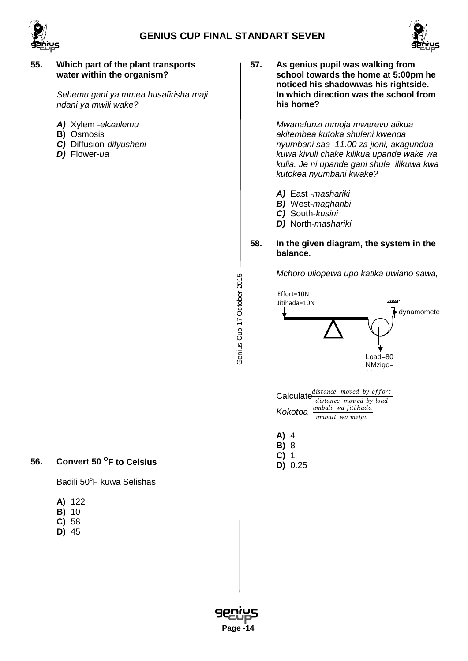



#### **55. Which part of the plant transports water within the organism?**

*Sehemu gani ya mmea husafirisha maji ndani ya mwili wake?*

- *A)* Xylem -*ekzailemu*
- **B)** Osmosis
- *C)* Diffusion-*difyusheni*
- *D)* Flower-*ua*

**57. As genius pupil was walking from school towards the home at 5:00pm he noticed his shadowwas his rightside. In which direction was the school from his home?**

> *Mwanafunzi mmoja mwerevu alikua akitembea kutoka shuleni kwenda nyumbani saa 11.00 za jioni, akagundua kuwa kivuli chake kilikua upande wake wa kulia. Je ni upande gani shule ilikuwa kwa kutokea nyumbani kwake?*

- *A)* East -*mashariki*
- *B)* West-*magharibi*
- *C)* South-*kusini*
- *D)* North-*mashariki*

#### **58. In the given diagram, the system in the balance.**

*Mchoro uliopewa upo katika uwiano sawa,*



# **56. Convert 50 OF to Celsius**

Badili 50°F kuwa Selishas

- **A)** 122
- **B)** 10
- **C)** 58
- **D)** 45



Genius Cup 17 October 2015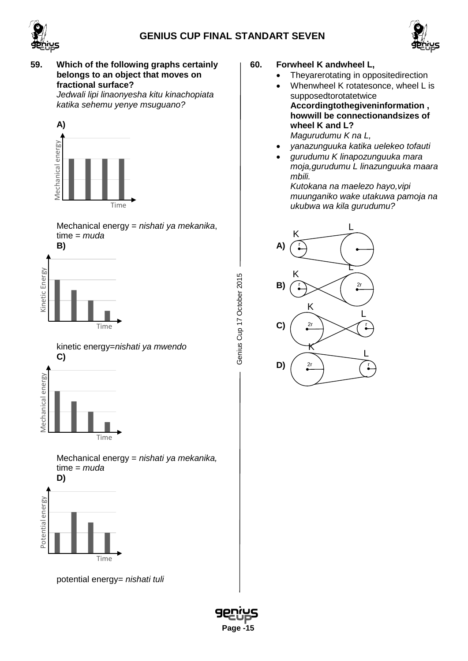



# **59. Which of the following graphs certainly belongs to an object that moves on fractional surface?**

*Jedwali lipi linaonyesha kitu kinachopiata katika sehemu yenye msuguano?*



Mechanical energy = *nishati ya mekanika*, time = *muda*



Genius Cup 17 October 2015 Genius Cup 17 October 2015

 **Page -15**

kinetic energy=*nishati ya mwendo* **C)**



Mechanical energy = *nishati ya mekanika,*  time = *muda*



potential energy= *nishati tuli*

- **60. Forwheel K andwheel L,** 
	- Theyarerotating in oppositedirection
	- Whenwheel K rotatesonce, wheel L is supposedtorotatetwice **Accordingtothegiveninformation , howwill be connectionandsizes of wheel K and L?**

*Magurudumu K na L,*

- *yanazunguuka katika uelekeo tofauti*
- *gurudumu K linapozunguuka mara moja,gurudumu L linazunguuka maara mbili.*

*Kutokana na maelezo hayo,vipi muunganiko wake utakuwa pamoja na ukubwa wa kila gurudumu?*